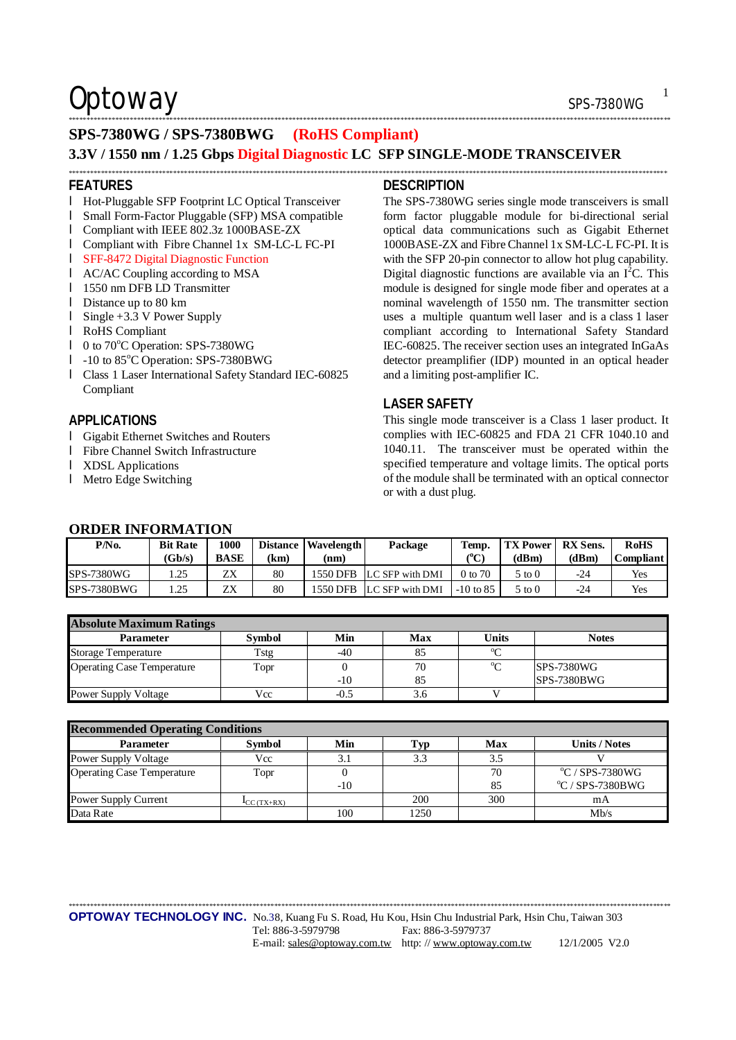$\mathsf{Optionway}$  sps-7380WG

\*\*\*\*\*\*\*\*\*\*\*\*\*\*\*\*\*\*\*\*\*\*\*\*\*\*\*\*\*\*\*\*\*\*\*\*\*\*\*\*\*\*\*\*\*\*\*\*\*\*\*\*\*\*\*\*\*\*\*\*\*\*\*\*\*\*\*\*\*\*\*\*\*\*\*\*\*\*\*\*\*\*\*\*\*\*\*\*\*\*\*\*\*\*\*\*\*\*\*\*\*\*\*\*\*\*\*\*\*\*\*\*\*\*\*\*\*\*\*\*\*\*\*\*\*\*\*\*\*\*\*\*\*\*\*\*\*\*\*\*\*\*\*\*\*\*\*\*\*\*\*\*\*\*\*\*\*\*\*\*\*\*\*\*\*\*\*

1

### **SPS-7380WG / SPS-7380BWG (RoHS Compliant)**

### **3.3V / 1550 nm / 1.25 Gbps Digital Diagnostic LC SFP SINGLE-MODE TRANSCEIVER**

\*\*\*\*\*\*\*\*\*\*\*\*\*\*\*\*\*\*\*\*\*\*\*\*\*\*\*\*\*\*\*\*\*\*\*\*\*\*\*\*\*\*\*\*\*\*\*\*\*\*\*\*\*\*\*\*\*\*\*\*\*\*\*\*\*\*\*\*\*\*\*\*\*\*\*\*\*\*\*\*\*\*\*\*\*\*\*\*\*\*\*\*\*\*\*\*\*\*\*\*\*\*\*\*\*\*\*\*\*\*\*\*\*\*\*\*\*\*\*\*\*\*\*\*\*\*\*\*\*\*\*\*\*\*\*\*\*\*\*\*\*\*\*\*\*\*\*\*\*\*\*\*\*\*\*\*\*\*\*\*\*\*\*\*\*\*

### **FEATURES**

- l Hot-Pluggable SFP Footprint LC Optical Transceiver
- l Small Form-Factor Pluggable (SFP) MSA compatible
- l Compliant with IEEE 802.3z 1000BASE-ZX
- l Compliant with Fibre Channel 1x SM-LC-L FC-PI
- l SFF-8472 Digital Diagnostic Function
- l AC/AC Coupling according to MSA
- l 1550 nm DFB LD Transmitter
- l Distance up to 80 km
- l Single +3.3 V Power Supply
- l RoHS Compliant
- l 0 to 70°C Operation: SPS-7380WG
- l -10 to 85°C Operation: SPS-7380BWG
- l Class 1 Laser International Safety Standard IEC-60825 Compliant

### **APPLICATIONS**

- l Gigabit Ethernet Switches and Routers
- l Fibre Channel Switch Infrastructure

**ORDER INFORMATION** 

- l XDSL Applications
- l Metro Edge Switching

### **DESCRIPTION**

The SPS-7380WG series single mode transceivers is small form factor pluggable module for bi-directional serial optical data communications such as Gigabit Ethernet 1000BASE-ZX and FibreChannel 1x SM-LC-L FC-PI. It is with the SFP 20-pin connector to allow hot plug capability. Digital diagnostic functions are available via an  $I<sup>2</sup>C$ . This module is designed for single mode fiber and operates at a nominal wavelength of 1550 nm. The transmitter section uses a multiple quantum well laser and is a class 1 laser compliant according to International Safety Standard IEC-60825. The receiver section uses an integrated InGaAs detector preamplifier (IDP) mounted in an optical header and a limiting post-amplifier IC.

### **LASER SAFETY**

This single mode transceiver is a Class 1 laser product. It complies with IEC-60825 and FDA 21 CFR 1040.10 and 1040.11. The transceiver must be operated within the specified temperature and voltage limits. The optical ports of the module shall be terminated with an optical connector or with a dust plug.

| P/No.       | <b>Bit Rate</b> | 1000        |      | Distance   Wavelength | Package         |                       | <b>TX Power</b> | <b>RX</b> Sens. | <b>RoHS</b>        |
|-------------|-----------------|-------------|------|-----------------------|-----------------|-----------------------|-----------------|-----------------|--------------------|
|             | (Gb/s)          | <b>BASE</b> | (km) | (nm)                  |                 | ${}^{\prime\prime}$ C | (dBm)           | (dBm)           | <b>Compliant</b> L |
| SPS-7380WG  | .25             | ZΧ          | 80   | 1550 DFB              | LC SFP with DMI | 0 to 70               | 5 to 0          | -24             | Yes                |
| SPS-7380BWG | . 25            | ΖX          | 80   | 1550 DFB              | LC SFP with DMI | $-10$ to 85           | 5 to 0          | $-24$           | Yes                |

| <b>Absolute Maximum Ratings</b>   |               |        |     |              |                    |  |
|-----------------------------------|---------------|--------|-----|--------------|--------------------|--|
| <b>Parameter</b>                  | <b>Symbol</b> | Min    | Max | <b>Units</b> | <b>Notes</b>       |  |
| <b>Storage Temperature</b>        | Tstg          | $-40$  | 85  | $\sim$       |                    |  |
| <b>Operating Case Temperature</b> | Topr          |        | 70  | $\Omega$     | <b>SPS-7380WG</b>  |  |
|                                   |               | $-10$  | 85  |              | <b>SPS-7380BWG</b> |  |
| <b>Power Supply Voltage</b>       | Vcc           | $-0.5$ | 3.6 |              |                    |  |

| <b>Recommended Operating Conditions</b> |                          |       |      |     |                             |  |  |
|-----------------------------------------|--------------------------|-------|------|-----|-----------------------------|--|--|
| <b>Parameter</b>                        | <b>Symbol</b>            | Min   | l`yp | Max | <b>Units / Notes</b>        |  |  |
| Power Supply Voltage                    | Vcc                      | 3.1   | 3.3  | 3.5 |                             |  |  |
| <b>Operating Case Temperature</b>       | Topr                     |       |      | 70  | $\rm ^{o}C$ / SPS-7380WG    |  |  |
|                                         |                          | $-10$ |      | 85  | $\mathrm{°C}$ / SPS-7380BWG |  |  |
| Power Supply Current                    | $\mathbf{I}_{CC(TX+RX)}$ |       | 200  | 300 | mA                          |  |  |
| Data Rate                               |                          | 100   | 1250 |     | Mh/s                        |  |  |

\*\*\*\*\*\*\*\*\*\*\*\*\*\*\*\*\*\*\*\*\*\*\*\*\*\*\*\*\*\*\*\*\*\*\*\*\*\*\*\*\*\*\*\*\*\*\*\*\*\*\*\*\*\*\*\*\*\*\*\*\*\*\*\*\*\*\*\*\*\*\*\*\*\*\*\*\*\*\*\*\*\*\*\*\*\*\*\*\*\*\*\*\*\*\*\*\*\*\*\*\*\*\*\*\*\*\*\*\*\*\*\*\*\*\*\*\*\*\*\*\*\*\*\*\*\*\*\*\*\*\*\*\*\*\*\*\*\*\*\*\*\*\*\*\*\*\*\*\*\*\*\*\*\*\*\*\*\*\*\*\*\*\*\*\*\*\*

**OPTOWAY TECHNOLOGY INC.** No.38, Kuang Fu S. Road, Hu Kou, Hsin Chu Industrial Park, Hsin Chu, Taiwan 303 Tel: 886-3-5979798 Fax: 886-3-5979737 E-mail: [sales@optoway.com.tw](mailto:sales@optoway.com.tw) http: // [www.optoway.com.tw](http://www.optoway.com.tw) 12/1/2005 V2.0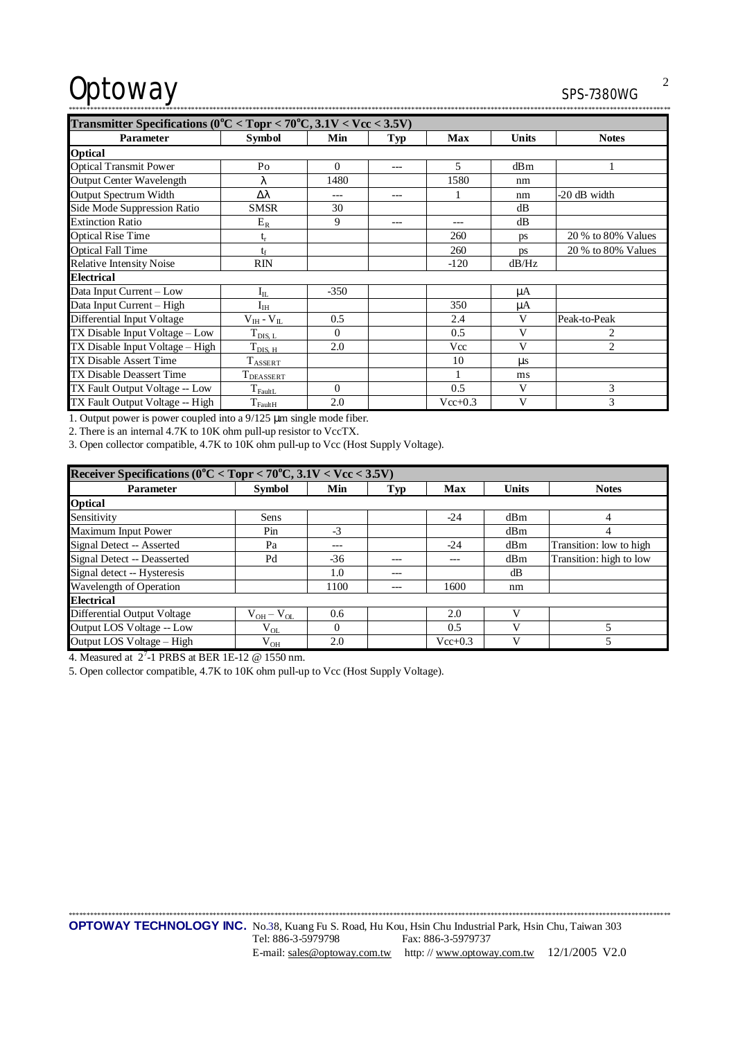# Optoway sps-7380WG

**Electrical** 

\*\*\*\*\*\*\*\*\*\*\*\*\*\*\*\*\*\*\*\*\*\*\*\*\*\*\*\*\*\*\*\*\*\*\*\*\*\*\*\*\*\*\*\*\*\*\*\*\*\*\*\*\*\*\*\*\*\*\*\*\*\*\*\*\*\*\*\*\*\*\*\*\*\*\*\*\*\*\*\*\*\*\*\*\*\*\*\*\*\*\*\*\*\*\*\*\*\*\*\*\*\*\*\*\*\*\*\*\*\*\*\*\*\*\*\*\*\*\*\*\*\*\*\*\*\*\*\*\*\*\*\*\*\*\*\*\*\*\*\*\*\*\*\*\*\*\*\*\*\*\*\*\*\*\*\*\*\*\*\*\*\*\*\*\*\*\* **Transmitter Specifications** ( $0^{\circ}$ C < Topr <  $70^{\circ}$ C,  $3.\overline{1}$ V < Vcc <  $3.5$ V) Parameter | Symbol | Min | Typ | Max | Units | Notes **Optical** Optical Transmit Power | Po | 0 | --- | 5 | dBm | 1  $Output$  Center Wavelength  $λ$  1480 1580 nm Output Spectrum Width  $\Delta \lambda$  --- -- 1 nm -20 dB width Side Mode Suppression Ratio SMSR 30 dB Extinction Ratio  $E_R$  9 --- -- dB<br>Optical Rise Time  $t_r$  260 ps Optical Rise Time  $\frac{t_r}{t_f}$   $\frac{1}{260}$  ps  $\frac{20\% \text{ to } 80\% \text{ Values}}{200 \text{ to } 80\% \text{ Values}}$ 

Relative Intensity Noise RIN RIN -120 dB/Hz

Data Input Current – Low IIL -350 μA Data Input Current – High  $I_{\text{IH}}$   $I_{\text{IH}}$   $I_{\text{IH}}$   $350$   $\mu$ A

TX Disable Assert Time  $T_{\text{ASSERT}}$  10 μs TX Disable Deassert Time  $T_{DEASSERT}$  1 ms

 $\text{Differential Input Voltage}$   $V_{\text{IH}} - V_{\text{IL}}$  0.5 2.4 V Peak-to-Peak TX Disable Input Voltage – Low  $T_{\text{DIS, L}}$  0.5 V 2 TX Disable Input Voltage – High  $T_{\text{DIS, H}}$  2.0 Vcc V 2

TX Fault Output Voltage -- Low  $T_{\text{Fault}}$  0 0.5 V 3

 $t_f$  1 260 ps 20 % to 80% Values

TX Fault Output Voltage -- High  $T_{\text{Fault}}$  2.0  $\vert$  Vcc+0.3  $\vert$  V 3 1. Output power is power coupled into a 9/125 μm single mode fiber.

2. There is an internal 4.7K to 10K ohm pull-up resistor to VccTX.

3. Open collector compatible, 4.7K to 10K ohm pull-up to Vcc (Host Supply Voltage).

| Receiver Specifications ( $0^{\circ}$ C < Topr < 70 $^{\circ}$ C, 3.1V < Vcc < 3.5V) |                   |          |       |             |              |                         |  |
|--------------------------------------------------------------------------------------|-------------------|----------|-------|-------------|--------------|-------------------------|--|
| <b>Parameter</b>                                                                     | <b>Symbol</b>     | Min      | Typ   | Max         | <b>Units</b> | <b>Notes</b>            |  |
| <b>Optical</b>                                                                       |                   |          |       |             |              |                         |  |
| Sensitivity                                                                          | Sens              |          |       | $-24$       | dBm          | 4                       |  |
| Maximum Input Power                                                                  | Pin               | $-3$     |       |             | dBm          | 4                       |  |
| Signal Detect -- Asserted                                                            | Pa                | $---$    |       | $-24$       | dBm          | Transition: low to high |  |
| Signal Detect -- Deasserted                                                          | Pd                | $-36$    |       | ---         | dBm          | Transition: high to low |  |
| Signal detect -- Hysteresis                                                          |                   | 1.0      | $---$ |             | dB           |                         |  |
| Wavelength of Operation                                                              |                   | 1100     | ---   | 1600        | nm           |                         |  |
| <b>Electrical</b>                                                                    |                   |          |       |             |              |                         |  |
| <b>Differential Output Voltage</b>                                                   | $V_{OH} - V_{OL}$ | 0.6      |       | 2.0         | V            |                         |  |
| Output LOS Voltage -- Low                                                            | $V_{OL}$          | $\Omega$ |       | 0.5         |              |                         |  |
| Output LOS Voltage - High                                                            | $\rm V_{OH}$      | 2.0      |       | $Vec{+}0.3$ | V            | 5                       |  |

4. Measured at  $2^7$ -1 PRBS at BER 1E-12 @ 1550 nm.

5. Open collector compatible, 4.7K to 10K ohm pull-up to Vcc (Host Supply Voltage).

\*\*\*\*\*\*\*\*\*\*\*\*\*\*\*\*\*\*\*\*\*\*\*\*\*\*\*\*\*\*\*\*\*\*\*\*\*\*\*\*\*\*\*\*\*\*\*\*\*\*\*\*\*\*\*\*\*\*\*\*\*\*\*\*\*\*\*\*\*\*\*\*\*\*\*\*\*\*\*\*\*\*\*\*\*\*\*\*\*\*\*\*\*\*\*\*\*\*\*\*\*\*\*\*\*\*\*\*\*\*\*\*\*\*\*\*\*\*\*\*\*\*\*\*\*\*\*\*\*\*\*\*\*\*\*\*\*\*\*\*\*\*\*\*\*\*\*\*\*\*\*\*\*\*\*\*\*\*\*\*\*\*\*\*\*\*\* **OPTOWAY TECHNOLOGY INC.** No.38, Kuang Fu S. Road, Hu Kou, Hsin Chu Industrial Park, Hsin Chu, Taiwan 303<br>Tel: 886-3-5979798 Fax: 886-3-5979737 Fax: 886-3-5979737 E-mail: [sales@optoway.com.tw](mailto:sales@optoway.com.tw) http: // [www.optoway.com.tw](http://www.optoway.com.tw) 12/1/2005 V2.0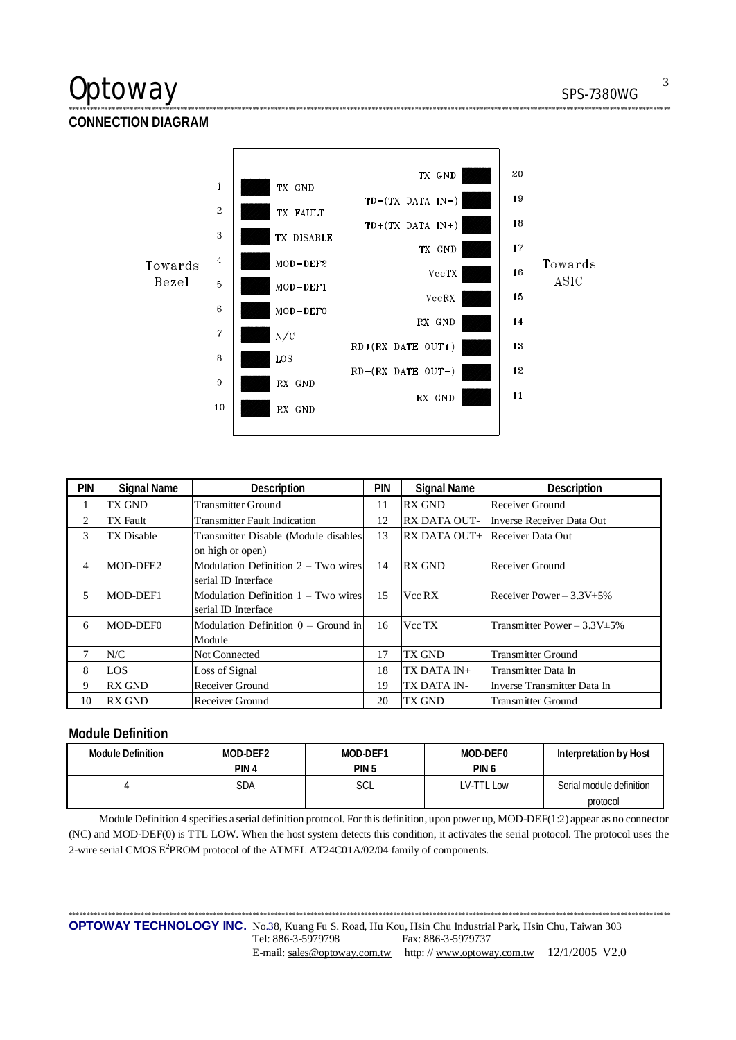## Optoway SPS-7380WG

**CONNECTION DIAGRAM** 



\*\*\*\*\*\*\*\*\*\*\*\*\*\*\*\*\*\*\*\*\*\*\*\*\*\*\*\*\*\*\*\*\*\*\*\*\*\*\*\*\*\*\*\*\*\*\*\*\*\*\*\*\*\*\*\*\*\*\*\*\*\*\*\*\*\*\*\*\*\*\*\*\*\*\*\*\*\*\*\*\*\*\*\*\*\*\*\*\*\*\*\*\*\*\*\*\*\*\*\*\*\*\*\*\*\*\*\*\*\*\*\*\*\*\*\*\*\*\*\*\*\*\*\*\*\*\*\*\*\*\*\*\*\*\*\*\*\*\*\*\*\*\*\*\*\*\*\*\*\*\*\*\*\*\*\*\*\*\*\*\*\*\*\*\*\*\*

| <b>PIN</b> | <b>Signal Name</b> | Description                           | PIN | <b>Signal Name</b>  | <b>Description</b>                |
|------------|--------------------|---------------------------------------|-----|---------------------|-----------------------------------|
| 1          | TX GND             | <b>Transmitter Ground</b>             | 11  | <b>RX GND</b>       | Receiver Ground                   |
| 2          | <b>TX</b> Fault    | <b>Transmitter Fault Indication</b>   | 12  | <b>RX DATA OUT-</b> | Inverse Receiver Data Out         |
| 3          | <b>TX</b> Disable  | Transmitter Disable (Module disables  | 13  | RX DATA OUT+        | Receiver Data Out                 |
|            |                    | on high or open)                      |     |                     |                                   |
| 4          | MOD-DFE2           | Modulation Definition $2 - Two wires$ | 14  | <b>RX GND</b>       | Receiver Ground                   |
|            |                    | serial ID Interface                   |     |                     |                                   |
| 5          | MOD-DEF1           | Modulation Definition $1 - Two wires$ | 15  | Vcc RX              | Receiver Power $-3.3V \pm 5\%$    |
|            |                    | serial ID Interface                   |     |                     |                                   |
| 6          | MOD-DEF0           | Modulation Definition $0 -$ Ground in | 16  | Vcc TX              | Transmitter Power $-3.3V \pm 5\%$ |
|            |                    | Module                                |     |                     |                                   |
|            | N/C                | Not Connected                         | 17  | TX GND              | <b>Transmitter Ground</b>         |
| 8          | <b>LOS</b>         | Loss of Signal                        | 18  | TX DATA IN+         | Transmitter Data In               |
| 9          | <b>RX GND</b>      | Receiver Ground                       | 19  | TX DATA IN-         | Inverse Transmitter Data In       |
| 10         | <b>RX GND</b>      | Receiver Ground                       | 20  | TX GND              | <b>Transmitter Ground</b>         |

### **Module Definition**

| Module Definition | MOD-DEF2         | MOD-DEF1 | MOD-DEF0   | Interpretation by Host   |
|-------------------|------------------|----------|------------|--------------------------|
|                   | PIN <sub>4</sub> | PIN 5    | PIN 6      |                          |
|                   | SDA              | SCL      | LV-TTL Low | Serial module definition |
|                   |                  |          |            | protocol                 |

Module Definition 4 specifies a serial definition protocol. For this definition, upon power up, MOD-DEF(1:2) appear as no connector (NC) and MOD-DEF(0) is TTL LOW. When the host system detects this condition, it activates the serial protocol. The protocol uses the 2-wire serial CMOS E<sup>2</sup>PROM protocol of the ATMEL AT24C01A/02/04 family of components.

\*\*\*\*\*\*\*\*\*\*\*\*\*\*\*\*\*\*\*\*\*\*\*\*\*\*\*\*\*\*\*\*\*\*\*\*\*\*\*\*\*\*\*\*\*\*\*\*\*\*\*\*\*\*\*\*\*\*\*\*\*\*\*\*\*\*\*\*\*\*\*\*\*\*\*\*\*\*\*\*\*\*\*\*\*\*\*\*\*\*\*\*\*\*\*\*\*\*\*\*\*\*\*\*\*\*\*\*\*\*\*\*\*\*\*\*\*\*\*\*\*\*\*\*\*\*\*\*\*\*\*\*\*\*\*\*\*\*\*\*\*\*\*\*\*\*\*\*\*\*\*\*\*\*\*\*\*\*\*\*\*\*\*\*\*\*\* **OPTOWAY TECHNOLOGY INC.** No.38, Kuang Fu S. Road, Hu Kou, Hsin Chu Industrial Park, Hsin Chu, Taiwan 303<br>Tel: 886-3-5979798 Fax: 886-3-5979737 Fax: 886-3-5979737

E-mail: [sales@optoway.com.tw](mailto:sales@optoway.com.tw) http: // [www.optoway.com.tw](http://www.optoway.com.tw) 12/1/2005 V2.0